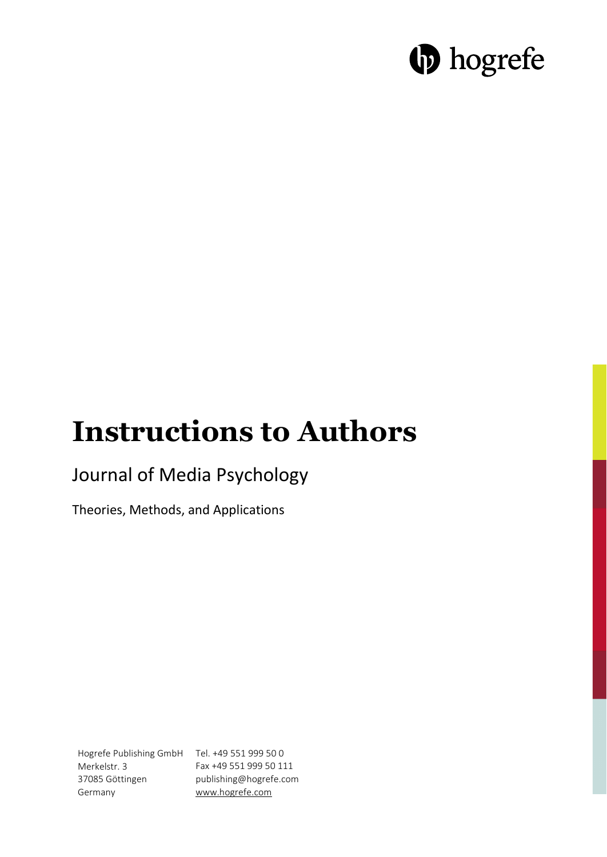# **b** hogrefe

## **Instructions to Authors**

## Journal of Media Psychology

Theories, Methods, and Applications

Hogrefe Publishing GmbH Tel. +49 551 999 50 0 Merkelstr. 3 37085 Göttingen Germany Fax +49 551 999 50 111 publishing@hogrefe.com www.hogrefe.com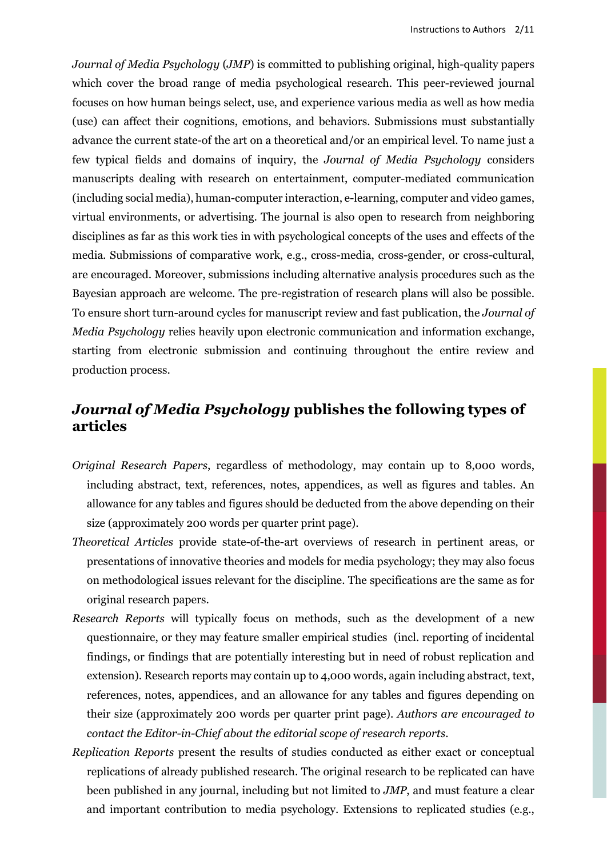*Journal of Media Psychology* (*JMP*) is committed to publishing original, high-quality papers which cover the broad range of media psychological research. This peer-reviewed journal focuses on how human beings select, use, and experience various media as well as how media (use) can affect their cognitions, emotions, and behaviors. Submissions must substantially advance the current state-of the art on a theoretical and/or an empirical level. To name just a few typical fields and domains of inquiry, the *Journal of Media Psychology* considers manuscripts dealing with research on entertainment, computer-mediated communication (including social media), human-computer interaction, e-learning, computer and video games, virtual environments, or advertising. The journal is also open to research from neighboring disciplines as far as this work ties in with psychological concepts of the uses and effects of the media. Submissions of comparative work, e.g., cross-media, cross-gender, or cross-cultural, are encouraged. Moreover, submissions including alternative analysis procedures such as the Bayesian approach are welcome. The pre-registration of research plans will also be possible. To ensure short turn-around cycles for manuscript review and fast publication, the *Journal of Media Psychology* relies heavily upon electronic communication and information exchange, starting from electronic submission and continuing throughout the entire review and production process.

## *Journal of Media Psychology* **publishes the following types of articles**

- *Original Research Papers*, regardless of methodology, may contain up to 8,000 words, including abstract, text, references, notes, appendices, as well as figures and tables. An allowance for any tables and figures should be deducted from the above depending on their size (approximately 200 words per quarter print page).
- *Theoretical Articles* provide state-of-the-art overviews of research in pertinent areas, or presentations of innovative theories and models for media psychology; they may also focus on methodological issues relevant for the discipline. The specifications are the same as for original research papers.
- *Research Reports* will typically focus on methods, such as the development of a new questionnaire, or they may feature smaller empirical studies (incl. reporting of incidental findings, or findings that are potentially interesting but in need of robust replication and extension). Research reports may contain up to 4,000 words, again including abstract, text, references, notes, appendices, and an allowance for any tables and figures depending on their size (approximately 200 words per quarter print page). *Authors are encouraged to contact the Editor-in-Chief about the editorial scope of research reports*.
- *Replication Reports* present the results of studies conducted as either exact or conceptual replications of already published research. The original research to be replicated can have been published in any journal, including but not limited to *JMP*, and must feature a clear and important contribution to media psychology. Extensions to replicated studies (e.g.,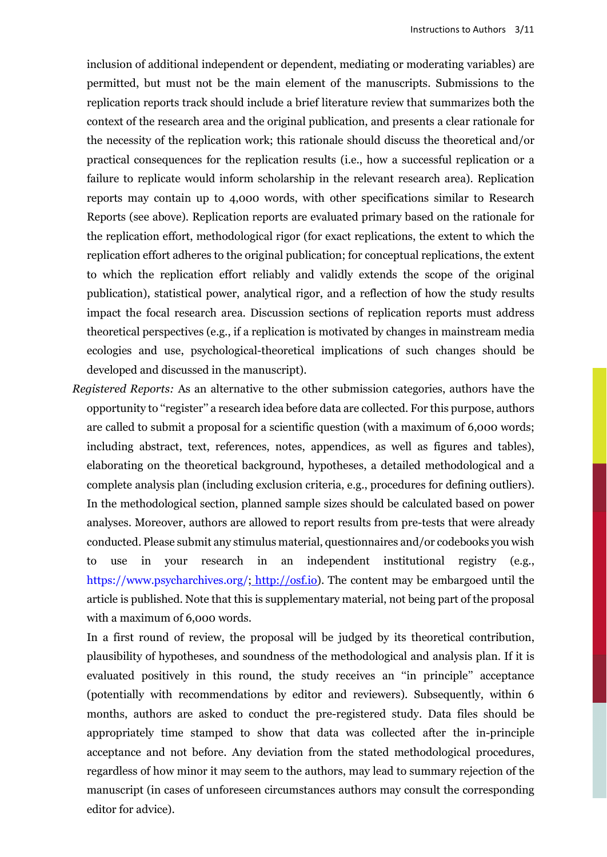inclusion of additional independent or dependent, mediating or moderating variables) are permitted, but must not be the main element of the manuscripts. Submissions to the replication reports track should include a brief literature review that summarizes both the context of the research area and the original publication, and presents a clear rationale for the necessity of the replication work; this rationale should discuss the theoretical and/or practical consequences for the replication results (i.e., how a successful replication or a failure to replicate would inform scholarship in the relevant research area). Replication reports may contain up to 4,000 words, with other specifications similar to Research Reports (see above). Replication reports are evaluated primary based on the rationale for the replication effort, methodological rigor (for exact replications, the extent to which the replication effort adheres to the original publication; for conceptual replications, the extent to which the replication effort reliably and validly extends the scope of the original publication), statistical power, analytical rigor, and a reflection of how the study results impact the focal research area. Discussion sections of replication reports must address theoretical perspectives (e.g., if a replication is motivated by changes in mainstream media ecologies and use, psychological-theoretical implications of such changes should be developed and discussed in the manuscript).

*Registered Reports:* As an alternative to the other submission categories, authors have the opportunity to ''register'' a research idea before data are collected. For this purpose, authors are called to submit a proposal for a scientific question (with a maximum of 6,000 words; including abstract, text, references, notes, appendices, as well as figures and tables), elaborating on the theoretical background, hypotheses, a detailed methodological and a complete analysis plan (including exclusion criteria, e.g., procedures for defining outliers). In the methodological section, planned sample sizes should be calculated based on power analyses. Moreover, authors are allowed to report results from pre-tests that were already conducted. Please submit any stimulus material, questionnaires and/or codebooks you wish to use in your research in an independent institutional registry (e.g., https://www.psycharchives.org/; [http://osf.io\)](http://osf.io). The content may be embargoed until the article is published. Note that this is supplementary material, not being part of the proposal with a maximum of 6,000 words.

In a first round of review, the proposal will be judged by its theoretical contribution, plausibility of hypotheses, and soundness of the methodological and analysis plan. If it is evaluated positively in this round, the study receives an ''in principle'' acceptance (potentially with recommendations by editor and reviewers). Subsequently, within 6 months, authors are asked to conduct the pre-registered study. Data files should be appropriately time stamped to show that data was collected after the in-principle acceptance and not before. Any deviation from the stated methodological procedures, regardless of how minor it may seem to the authors, may lead to summary rejection of the manuscript (in cases of unforeseen circumstances authors may consult the corresponding editor for advice).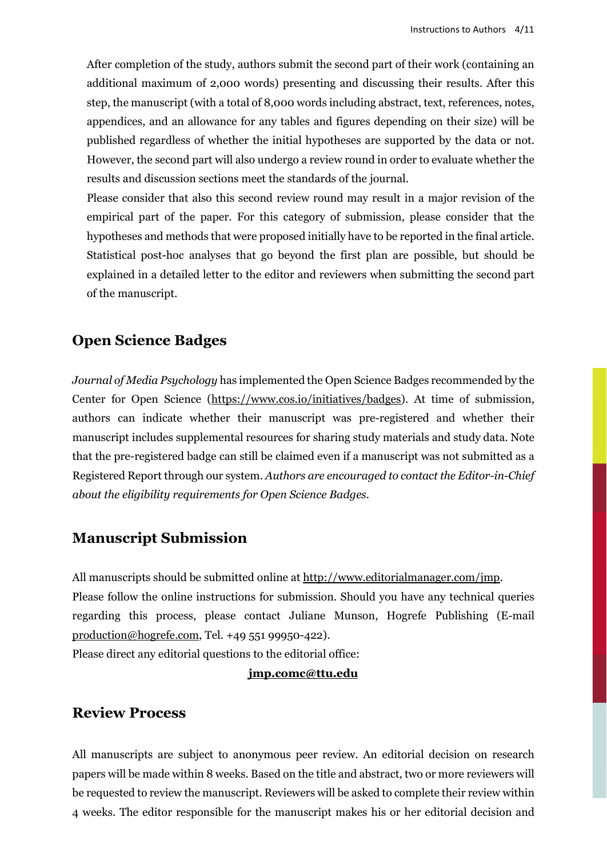After completion of the study, authors submit the second part of their work (containing an additional maximum of 2,000 words) presenting and discussing their results. After this step, the manuscript (with a total of 8,000 words including abstract, text, references, notes, appendices, and an allowance for any tables and figures depending on their size) will be published regardless of whether the initial hypotheses are supported by the data or not. However, the second part will also undergo a review round in order to evaluate whether the results and discussion sections meet the standards of the journal.

Please consider that also this second review round may result in a major revision of the empirical part of the paper. For this category of submission, please consider that the hypotheses and methods that were proposed initially have to be reported in the final article. Statistical post-hoc analyses that go beyond the first plan are possible, but should be explained in a detailed letter to the editor and reviewers when submitting the second part of the manuscript.

## **Open Science Badges**

*Journal of Media Psychology* has implemented the Open Science Badges recommended by the Center for Open Science [\(https://www.cos.io/initiatives/badges\)](https://www.cos.io/initiatives/badges). At time of submission, authors can indicate whether their manuscript was pre-registered and whether their manuscript includes supplemental resources for sharing study materials and study data. Note that the pre-registered badge can still be claimed even if a manuscript was not submitted as a Registered Report through our system. *Authors are encouraged to contact the Editor-in-Chief about the eligibility requirements for Open Science Badges.*

## **Manuscript Submission**

All manuscripts should be submitted online at [http://www.editorialmanager.com/jmp.](http://www.editorialmanager.com/jmp) Please follow the online instructions for submission. Should you have any technical queries regarding this process, please contact Juliane Munson, Hogrefe Publishing (E-mail [production@hogrefe.com,](mailto:production@hogrefe.com) Tel. +49 551 99950-422).

Please direct any editorial questions to the editorial office:

#### **[jmp.comc@ttu.edu](mailto:jmp.comc@ttu.edu)**

### **Review Process**

All manuscripts are subject to anonymous peer review. An editorial decision on research papers will be made within 8 weeks. Based on the title and abstract, two or more reviewers will be requested to review the manuscript. Reviewers will be asked to complete their review within 4 weeks. The editor responsible for the manuscript makes his or her editorial decision and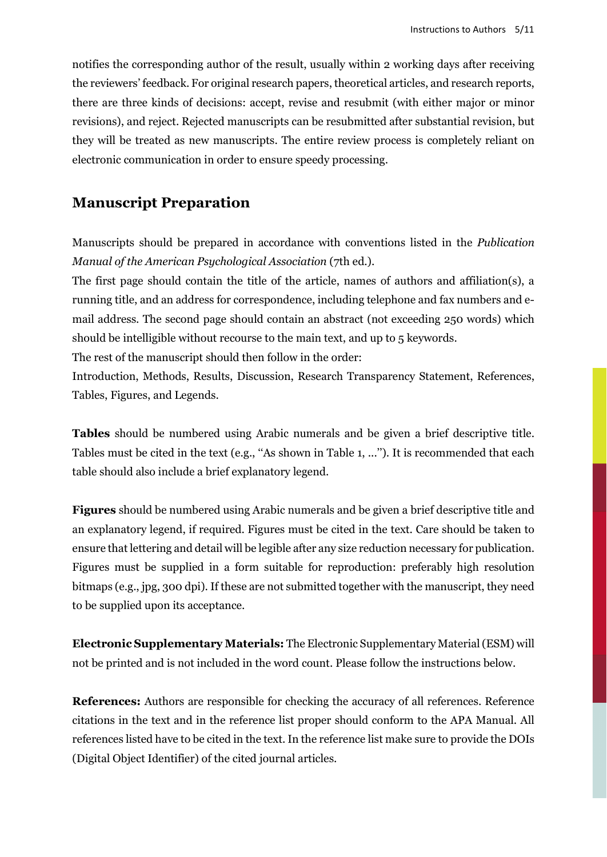notifies the corresponding author of the result, usually within 2 working days after receiving the reviewers' feedback. For original research papers, theoretical articles, and research reports, there are three kinds of decisions: accept, revise and resubmit (with either major or minor revisions), and reject. Rejected manuscripts can be resubmitted after substantial revision, but they will be treated as new manuscripts. The entire review process is completely reliant on electronic communication in order to ensure speedy processing.

## **Manuscript Preparation**

Manuscripts should be prepared in accordance with conventions listed in the *Publication Manual of the American Psychological Association* (7th ed.).

The first page should contain the title of the article, names of authors and affiliation(s), a running title, and an address for correspondence, including telephone and fax numbers and email address. The second page should contain an abstract (not exceeding 250 words) which should be intelligible without recourse to the main text, and up to 5 keywords.

The rest of the manuscript should then follow in the order:

Introduction, Methods, Results, Discussion, Research Transparency Statement, References, Tables, Figures, and Legends.

**Tables** should be numbered using Arabic numerals and be given a brief descriptive title. Tables must be cited in the text (e.g., ''As shown in Table 1, ...''). It is recommended that each table should also include a brief explanatory legend.

**Figures** should be numbered using Arabic numerals and be given a brief descriptive title and an explanatory legend, if required. Figures must be cited in the text. Care should be taken to ensure that lettering and detail will be legible after any size reduction necessary for publication. Figures must be supplied in a form suitable for reproduction: preferably high resolution bitmaps (e.g., jpg, 300 dpi). If these are not submitted together with the manuscript, they need to be supplied upon its acceptance.

**Electronic Supplementary Materials:** The Electronic Supplementary Material (ESM) will not be printed and is not included in the word count. Please follow the instructions below.

**References:** Authors are responsible for checking the accuracy of all references. Reference citations in the text and in the reference list proper should conform to the APA Manual. All references listed have to be cited in the text. In the reference list make sure to provide the DOIs (Digital Object Identifier) of the cited journal articles.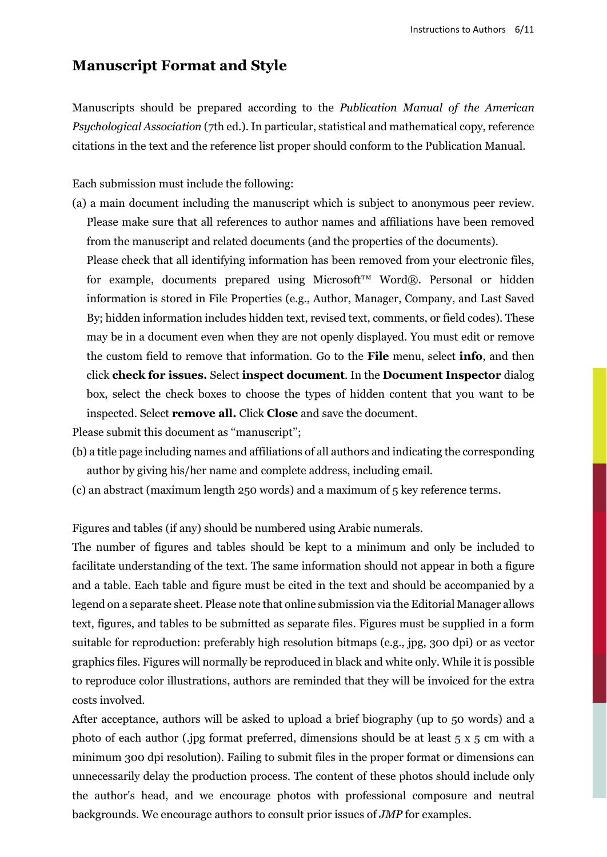## **Manuscript Format and Style**

Manuscripts should be prepared according to the *Publication Manual of the American Psychological Association* (7th ed.). In particular, statistical and mathematical copy, reference citations in the text and the reference list proper should conform to the Publication Manual.

Each submission must include the following:

(a) a main document including the manuscript which is subject to anonymous peer review. Please make sure that all references to author names and affiliations have been removed from the manuscript and related documents (and the properties of the documents).

Please check that all identifying information has been removed from your electronic files, for example, documents prepared using Microsoft™ Word®. Personal or hidden information is stored in File Properties (e.g., Author, Manager, Company, and Last Saved By; hidden information includes hidden text, revised text, comments, or field codes). These may be in a document even when they are not openly displayed. You must edit or remove the custom field to remove that information. Go to the **File** menu, select **info**, and then click **check for issues.** Select **inspect document**. In the **Document Inspector** dialog box, select the check boxes to choose the types of hidden content that you want to be inspected. Select **remove all.** Click **Close** and save the document.

Please submit this document as "manuscript";

- (b) a title page including names and affiliations of all authors and indicating the corresponding author by giving his/her name and complete address, including email.
- (c) an abstract (maximum length 250 words) and a maximum of 5 key reference terms.

Figures and tables (if any) should be numbered using Arabic numerals.

The number of figures and tables should be kept to a minimum and only be included to facilitate understanding of the text. The same information should not appear in both a figure and a table. Each table and figure must be cited in the text and should be accompanied by a legend on a separate sheet. Please note that online submission via the Editorial Manager allows text, figures, and tables to be submitted as separate files. Figures must be supplied in a form suitable for reproduction: preferably high resolution bitmaps (e.g., jpg, 300 dpi) or as vector graphics files. Figures will normally be reproduced in black and white only. While it is possible to reproduce color illustrations, authors are reminded that they will be invoiced for the extra costs involved.

After acceptance, authors will be asked to upload a brief biography (up to 50 words) and a photo of each author (.jpg format preferred, dimensions should be at least 5 x 5 cm with a minimum 300 dpi resolution). Failing to submit files in the proper format or dimensions can unnecessarily delay the production process. The content of these photos should include only the author's head, and we encourage photos with professional composure and neutral backgrounds. We encourage authors to consult prior issues of *JMP* for examples.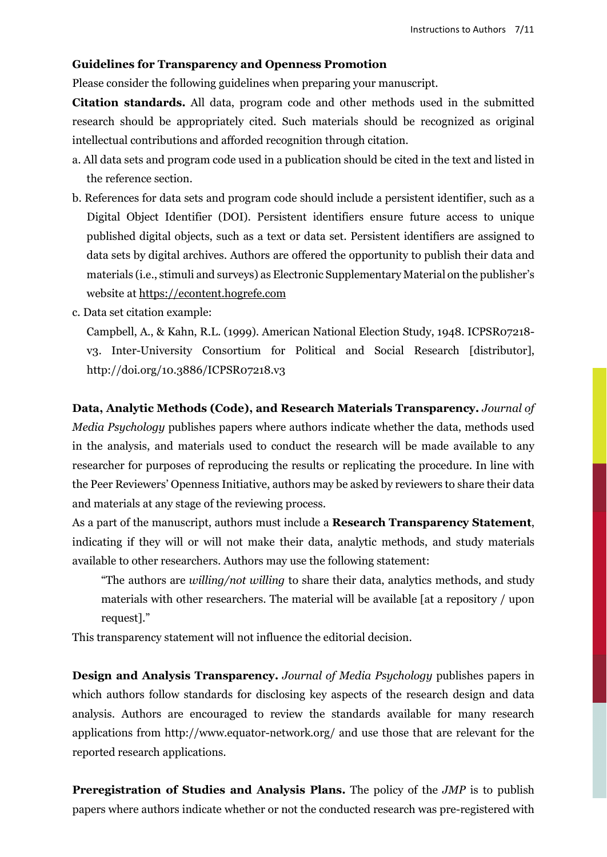#### **Guidelines for Transparency and Openness Promotion**

Please consider the following guidelines when preparing your manuscript.

**Citation standards.** All data, program code and other methods used in the submitted research should be appropriately cited. Such materials should be recognized as original intellectual contributions and afforded recognition through citation.

- a. All data sets and program code used in a publication should be cited in the text and listed in the reference section.
- b. References for data sets and program code should include a persistent identifier, such as a Digital Object Identifier (DOI). Persistent identifiers ensure future access to unique published digital objects, such as a text or data set. Persistent identifiers are assigned to data sets by digital archives. Authors are offered the opportunity to publish their data and materials (i.e., stimuli and surveys) as Electronic Supplementary Material on the publisher's website at [https://econtent.hogrefe.com](https://econtent.hogrefe.com/)
- c. Data set citation example:

Campbell, A., & Kahn, R.L. (1999). American National Election Study, 1948. ICPSR07218 v3. Inter-University Consortium for Political and Social Research [distributor], http://doi.org/10.3886/ICPSR07218.v3

**Data, Analytic Methods (Code), and Research Materials Transparency.** *Journal of Media Psychology* publishes papers where authors indicate whether the data, methods used in the analysis, and materials used to conduct the research will be made available to any researcher for purposes of reproducing the results or replicating the procedure. In line with the Peer Reviewers' Openness Initiative, authors may be asked by reviewers to share their data and materials at any stage of the reviewing process.

As a part of the manuscript, authors must include a **Research Transparency Statement**, indicating if they will or will not make their data, analytic methods, and study materials available to other researchers. Authors may use the following statement:

"The authors are *willing/not willing* to share their data, analytics methods, and study materials with other researchers. The material will be available [at a repository / upon request]."

This transparency statement will not influence the editorial decision.

**Design and Analysis Transparency.** *Journal of Media Psychology* publishes papers in which authors follow standards for disclosing key aspects of the research design and data analysis. Authors are encouraged to review the standards available for many research applications from http://www.equator-network.org/ and use those that are relevant for the reported research applications.

**Preregistration of Studies and Analysis Plans.** The policy of the *JMP* is to publish papers where authors indicate whether or not the conducted research was pre-registered with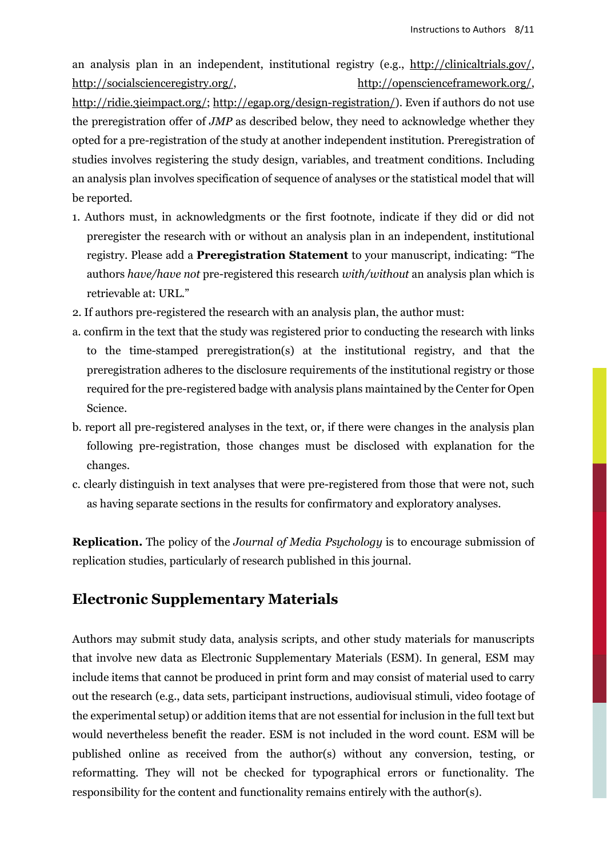an analysis plan in an independent, institutional registry (e.g., [http://clinicaltrials.gov/,](http://clinicaltrials.gov/) [http://socialscienceregistry.org/,](http://socialscienceregistry.org/) [http://openscienceframework.org/,](http://openscienceframework.org/) [http://ridie.3ieimpact.org/;](http://ridie.3ieimpact.org/) [http://egap.org/design-registration/\)](http://egap.org/design-registration/). Even if authors do not use the preregistration offer of *JMP* as described below, they need to acknowledge whether they opted for a pre-registration of the study at another independent institution. Preregistration of studies involves registering the study design, variables, and treatment conditions. Including an analysis plan involves specification of sequence of analyses or the statistical model that will be reported.

- 1. Authors must, in acknowledgments or the first footnote, indicate if they did or did not preregister the research with or without an analysis plan in an independent, institutional registry. Please add a **Preregistration Statement** to your manuscript, indicating: "The authors *have/have not* pre-registered this research *with/without* an analysis plan which is retrievable at: URL."
- 2. If authors pre-registered the research with an analysis plan, the author must:
- a. confirm in the text that the study was registered prior to conducting the research with links to the time-stamped preregistration(s) at the institutional registry, and that the preregistration adheres to the disclosure requirements of the institutional registry or those required for the pre-registered badge with analysis plans maintained by the Center for Open Science.
- b. report all pre-registered analyses in the text, or, if there were changes in the analysis plan following pre-registration, those changes must be disclosed with explanation for the changes.
- c. clearly distinguish in text analyses that were pre-registered from those that were not, such as having separate sections in the results for confirmatory and exploratory analyses.

**Replication.** The policy of the *Journal of Media Psychology* is to encourage submission of replication studies, particularly of research published in this journal.

## **Electronic Supplementary Materials**

Authors may submit study data, analysis scripts, and other study materials for manuscripts that involve new data as Electronic Supplementary Materials (ESM). In general, ESM may include items that cannot be produced in print form and may consist of material used to carry out the research (e.g., data sets, participant instructions, audiovisual stimuli, video footage of the experimental setup) or addition items that are not essential for inclusion in the full text but would nevertheless benefit the reader. ESM is not included in the word count. ESM will be published online as received from the author(s) without any conversion, testing, or reformatting. They will not be checked for typographical errors or functionality. The responsibility for the content and functionality remains entirely with the author(s).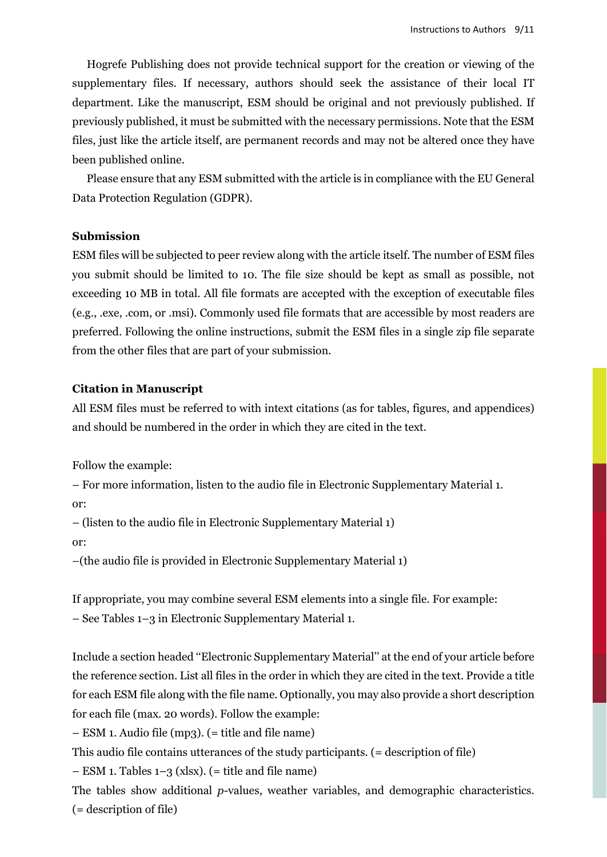Hogrefe Publishing does not provide technical support for the creation or viewing of the supplementary files. If necessary, authors should seek the assistance of their local IT department. Like the manuscript, ESM should be original and not previously published. If previously published, it must be submitted with the necessary permissions. Note that the ESM files, just like the article itself, are permanent records and may not be altered once they have been published online.

Please ensure that any ESM submitted with the article is in compliance with the EU General Data Protection Regulation (GDPR).

#### **Submission**

ESM files will be subjected to peer review along with the article itself. The number of ESM files you submit should be limited to 10. The file size should be kept as small as possible, not exceeding 10 MB in total. All file formats are accepted with the exception of executable files (e.g., .exe, .com, or .msi). Commonly used file formats that are accessible by most readers are preferred. Following the online instructions, submit the ESM files in a single zip file separate from the other files that are part of your submission.

#### **Citation in Manuscript**

All ESM files must be referred to with intext citations (as for tables, figures, and appendices) and should be numbered in the order in which they are cited in the text.

Follow the example:

– For more information, listen to the audio file in Electronic Supplementary Material 1.

or:

– (listen to the audio file in Electronic Supplementary Material 1)

or:

–(the audio file is provided in Electronic Supplementary Material 1)

If appropriate, you may combine several ESM elements into a single file. For example:

– See Tables 1–3 in Electronic Supplementary Material 1.

Include a section headed ''Electronic Supplementary Material'' at the end of your article before the reference section. List all files in the order in which they are cited in the text. Provide a title for each ESM file along with the file name. Optionally, you may also provide a short description for each file (max. 20 words). Follow the example:

– ESM 1. Audio file (mp3). (= title and file name)

This audio file contains utterances of the study participants. (= description of file)

 $-$  ESM 1. Tables 1–3 (xlsx). (= title and file name)

The tables show additional *p*-values, weather variables, and demographic characteristics. (= description of file)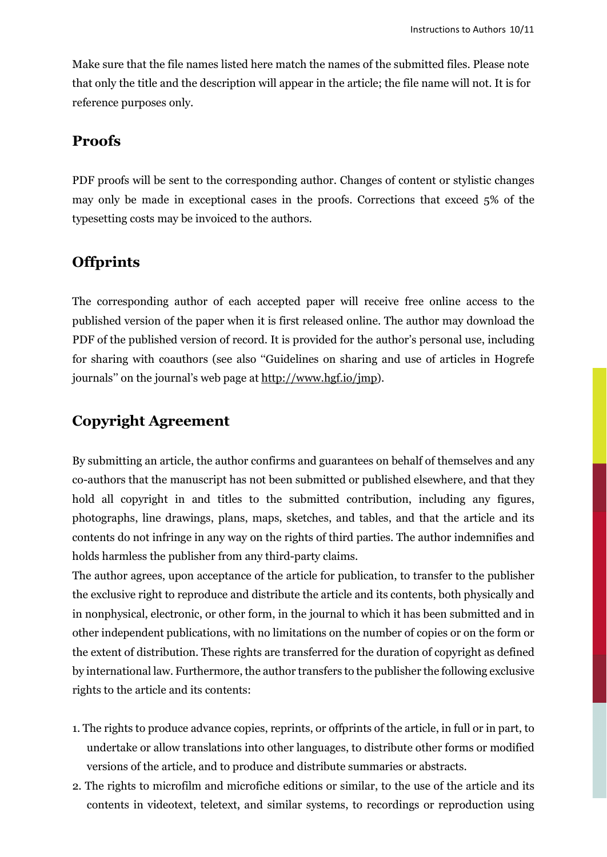Make sure that the file names listed here match the names of the submitted files. Please note that only the title and the description will appear in the article; the file name will not. It is for reference purposes only.

### **Proofs**

PDF proofs will be sent to the corresponding author. Changes of content or stylistic changes may only be made in exceptional cases in the proofs. Corrections that exceed 5% of the typesetting costs may be invoiced to the authors.

## **Offprints**

The corresponding author of each accepted paper will receive free online access to the published version of the paper when it is first released online. The author may download the PDF of the published version of record. It is provided for the author's personal use, including for sharing with coauthors (see also ''Guidelines on sharing and use of articles in Hogrefe journals'' on the journal's web page at [http://www.hgf.io/jmp\)](http://www.hgf.io/jmp).

## **Copyright Agreement**

By submitting an article, the author confirms and guarantees on behalf of themselves and any co-authors that the manuscript has not been submitted or published elsewhere, and that they hold all copyright in and titles to the submitted contribution, including any figures, photographs, line drawings, plans, maps, sketches, and tables, and that the article and its contents do not infringe in any way on the rights of third parties. The author indemnifies and holds harmless the publisher from any third-party claims.

The author agrees, upon acceptance of the article for publication, to transfer to the publisher the exclusive right to reproduce and distribute the article and its contents, both physically and in nonphysical, electronic, or other form, in the journal to which it has been submitted and in other independent publications, with no limitations on the number of copies or on the form or the extent of distribution. These rights are transferred for the duration of copyright as defined by international law. Furthermore, the author transfers to the publisher the following exclusive rights to the article and its contents:

- 1. The rights to produce advance copies, reprints, or offprints of the article, in full or in part, to undertake or allow translations into other languages, to distribute other forms or modified versions of the article, and to produce and distribute summaries or abstracts.
- 2. The rights to microfilm and microfiche editions or similar, to the use of the article and its contents in videotext, teletext, and similar systems, to recordings or reproduction using